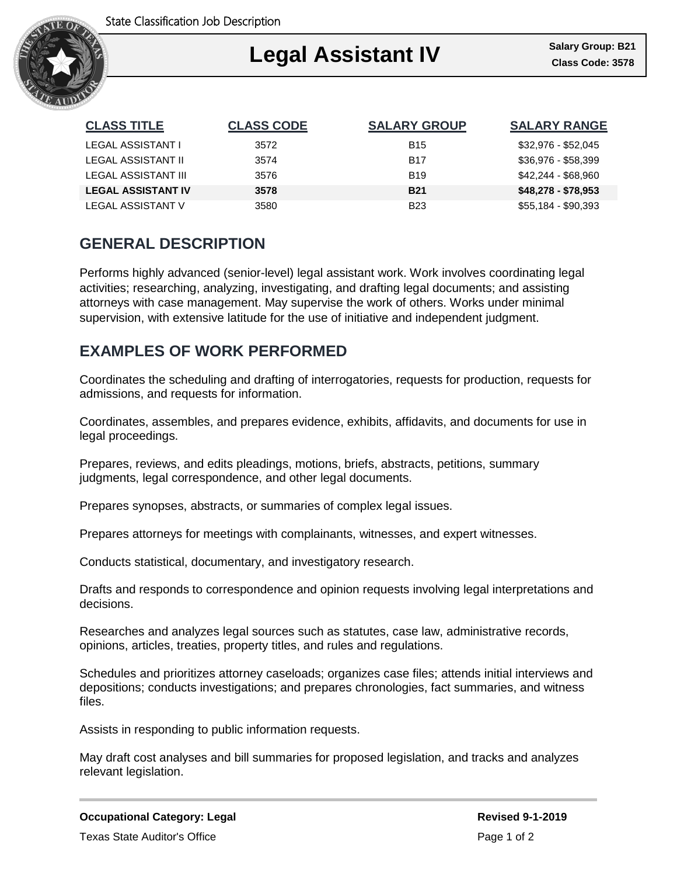

### Ι **Legal Assistant IV**

| <b>CLASS TITLE</b>        | <b>CLASS CODE</b> | <b>SALARY GROUP</b> | <b>SALARY RANGE</b> |
|---------------------------|-------------------|---------------------|---------------------|
| LEGAL ASSISTANT I         | 3572              | <b>B</b> 15         | \$32,976 - \$52,045 |
| LEGAL ASSISTANT II        | 3574              | <b>B17</b>          | $$36.976 - $58.399$ |
| LEGAL ASSISTANT III       | 3576              | <b>B</b> 19         | \$42,244 - \$68,960 |
| <b>LEGAL ASSISTANT IV</b> | 3578              | <b>B21</b>          | $$48,278 - $78,953$ |
| LEGAL ASSISTANT V         | 3580              | B <sub>23</sub>     | \$55,184 - \$90,393 |

# **GENERAL DESCRIPTION**

Performs highly advanced (senior-level) legal assistant work. Work involves coordinating legal activities; researching, analyzing, investigating, and drafting legal documents; and assisting attorneys with case management. May supervise the work of others. Works under minimal supervision, with extensive latitude for the use of initiative and independent judgment.

# **EXAMPLES OF WORK PERFORMED**

Coordinates the scheduling and drafting of interrogatories, requests for production, requests for admissions, and requests for information.

Coordinates, assembles, and prepares evidence, exhibits, affidavits, and documents for use in legal proceedings.

Prepares, reviews, and edits pleadings, motions, briefs, abstracts, petitions, summary judgments, legal correspondence, and other legal documents.

Prepares synopses, abstracts, or summaries of complex legal issues.

Prepares attorneys for meetings with complainants, witnesses, and expert witnesses.

Conducts statistical, documentary, and investigatory research.

Drafts and responds to correspondence and opinion requests involving legal interpretations and decisions.

Researches and analyzes legal sources such as statutes, case law, administrative records, opinions, articles, treaties, property titles, and rules and regulations.

Schedules and prioritizes attorney caseloads; organizes case files; attends initial interviews and depositions; conducts investigations; and prepares chronologies, fact summaries, and witness files.

Assists in responding to public information requests.

May draft cost analyses and bill summaries for proposed legislation, and tracks and analyzes relevant legislation.